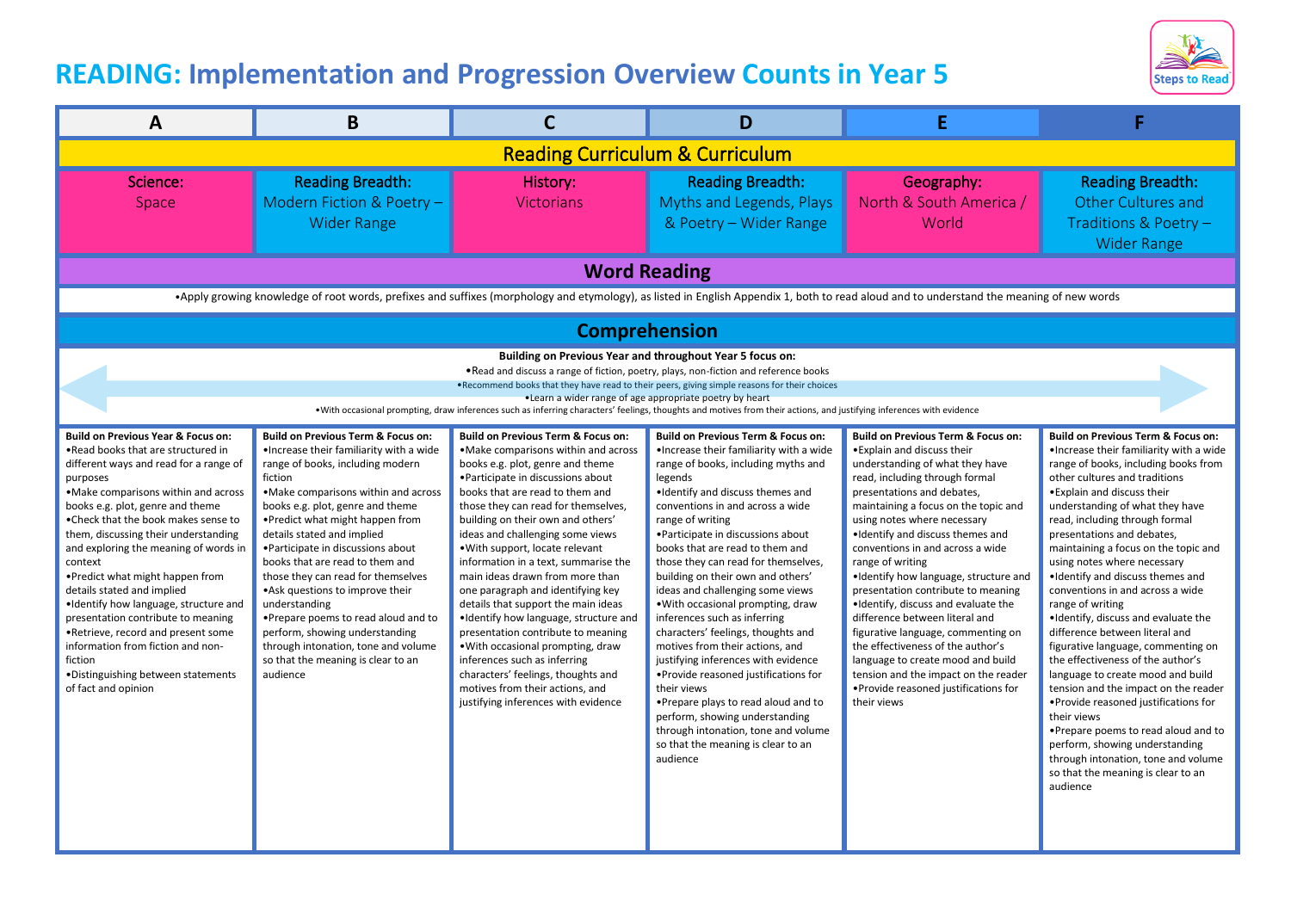## **READING: Implementation and Progression Overview Counts in Year 5**



**Steps to Read**